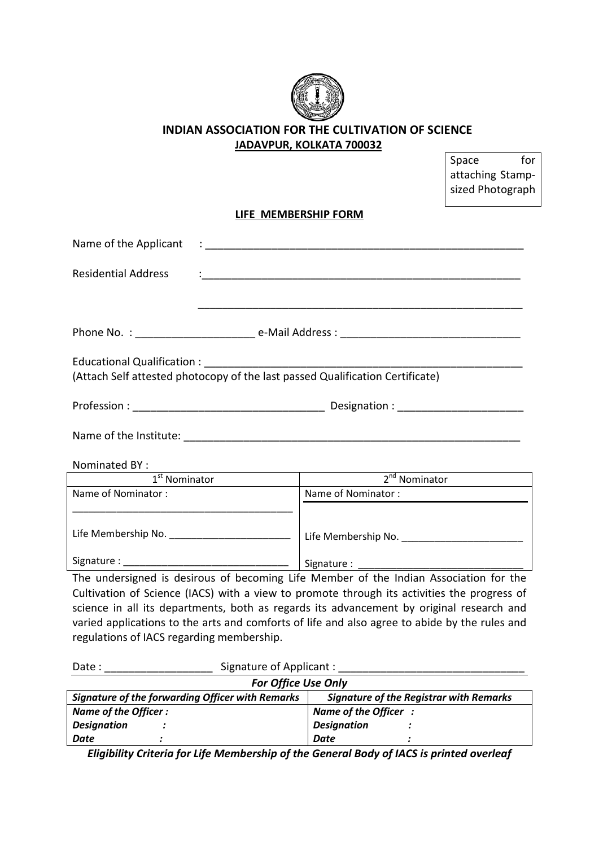

## **INDIAN ASSOCIATION FOR THE CULTIVATION OF SCIENCE JADAVPUR, KOLKATA 700032**

Space for

|                                           |                                                                                                                      |                                                                                                                                                                                                                                                                                                                                                                                   | attaching Stamp-<br>sized Photograph |  |
|-------------------------------------------|----------------------------------------------------------------------------------------------------------------------|-----------------------------------------------------------------------------------------------------------------------------------------------------------------------------------------------------------------------------------------------------------------------------------------------------------------------------------------------------------------------------------|--------------------------------------|--|
|                                           |                                                                                                                      | LIFE MEMBERSHIP FORM                                                                                                                                                                                                                                                                                                                                                              |                                      |  |
| Name of the Applicant                     |                                                                                                                      |                                                                                                                                                                                                                                                                                                                                                                                   |                                      |  |
| <b>Residential Address</b>                |                                                                                                                      |                                                                                                                                                                                                                                                                                                                                                                                   |                                      |  |
|                                           |                                                                                                                      |                                                                                                                                                                                                                                                                                                                                                                                   |                                      |  |
| Educational Qualification:                |                                                                                                                      | (Attach Self attested photocopy of the last passed Qualification Certificate)                                                                                                                                                                                                                                                                                                     |                                      |  |
|                                           |                                                                                                                      |                                                                                                                                                                                                                                                                                                                                                                                   |                                      |  |
|                                           |                                                                                                                      |                                                                                                                                                                                                                                                                                                                                                                                   |                                      |  |
| Nominated BY:                             | <u> 1989 - Johann Barn, mars eta bat erroman erroman erroman erroman erroman erroman erroman erroman erroman err</u> |                                                                                                                                                                                                                                                                                                                                                                                   |                                      |  |
| $1st$ Nominator                           |                                                                                                                      | $2nd$ Nominator                                                                                                                                                                                                                                                                                                                                                                   |                                      |  |
| Name of Nominator:                        |                                                                                                                      | Name of Nominator:                                                                                                                                                                                                                                                                                                                                                                |                                      |  |
|                                           |                                                                                                                      |                                                                                                                                                                                                                                                                                                                                                                                   |                                      |  |
|                                           |                                                                                                                      |                                                                                                                                                                                                                                                                                                                                                                                   |                                      |  |
| regulations of IACS regarding membership. |                                                                                                                      | The undersigned is desirous of becoming Life Member of the Indian Association for the<br>Cultivation of Science (IACS) with a view to promote through its activities the progress of<br>science in all its departments, both as regards its advancement by original research and<br>varied applications to the arts and comforts of life and also agree to abide by the rules and |                                      |  |
| Date:                                     |                                                                                                                      | Signature of Applicant:                                                                                                                                                                                                                                                                                                                                                           |                                      |  |

| <b>For Office Use Only</b>                              |                                                |  |  |
|---------------------------------------------------------|------------------------------------------------|--|--|
| <b>Signature of the forwarding Officer with Remarks</b> | <b>Signature of the Registrar with Remarks</b> |  |  |
| Name of the Officer:                                    | Name of the Officer:                           |  |  |
| <b>Designation</b>                                      | <b>Designation</b>                             |  |  |
| Date                                                    | <b>Date</b>                                    |  |  |

*Eligibility Criteria for Life Membership of the General Body of IACS is printed overleaf*